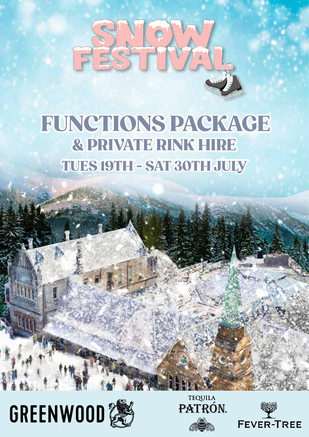

## FUNCTIONS PACKAGE<br>& PRIVATE RINK HIRE<br>TUES 19TH - SAT 30TH JULY & PRIVATE RINK HIRE



**THE** 





*Function Packages* 

*July 2021*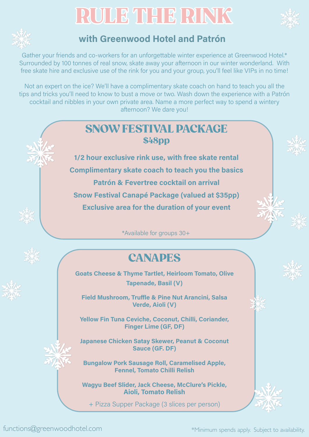## RULE THE RINK





## **with Greenwood Hotel and Patrón**

Gather your friends and co-workers for an unforgettable winter experience at Greenwood Hotel.\* Surrounded by 100 tonnes of real snow, skate away your afternoon in our winter wonderland. With free skate hire and exclusive use of the rink for you and your group, you'll feel like VIPs in no time!

Not an expert on the ice? We'll have a complimentary skate coach on hand to teach you all the tips and tricks you'll need to know to bust a move or two. Wash down the experience with a Patrón cocktail and nibbles in your own private area. Name a more perfect way to spend a wintery afternoon? We dare you!



**Japanese Chicken Satay Skewer, Peanut & Coconut Sauce (GF. DF)** 

**Bungalow Pork Sausage Roll, Caramelised Apple, Fennel, Tomato Chilli Relish** 

**Wagyu Beef Slider, Jack Cheese, McClure's Pickle, Aioli, Tomato Relish**

+ Pizza Supper Package (3 slices per person)